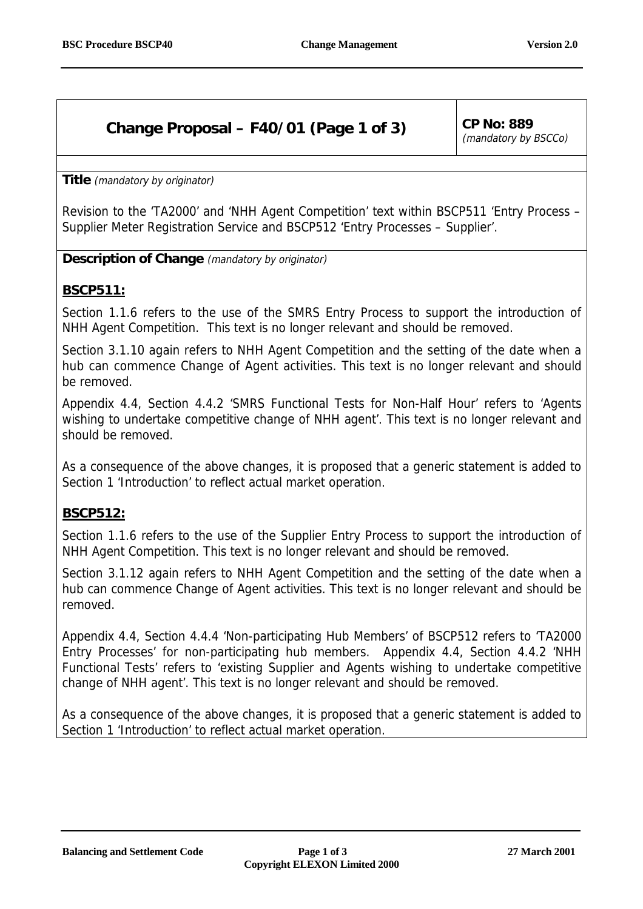# **Change Proposal – F40/01 (Page 1 of 3) CP No: 889**

(mandatory by BSCCo)

**Title** (mandatory by originator)

Revision to the 'TA2000' and 'NHH Agent Competition' text within BSCP511 'Entry Process – Supplier Meter Registration Service and BSCP512 'Entry Processes – Supplier'.

**Description of Change** (mandatory by originator)

### **BSCP511:**

Section 1.1.6 refers to the use of the SMRS Entry Process to support the introduction of NHH Agent Competition. This text is no longer relevant and should be removed.

Section 3.1.10 again refers to NHH Agent Competition and the setting of the date when a hub can commence Change of Agent activities. This text is no longer relevant and should be removed.

Appendix 4.4, Section 4.4.2 'SMRS Functional Tests for Non-Half Hour' refers to 'Agents wishing to undertake competitive change of NHH agent'. This text is no longer relevant and should be removed.

As a consequence of the above changes, it is proposed that a generic statement is added to Section 1 'Introduction' to reflect actual market operation.

## **BSCP512:**

Section 1.1.6 refers to the use of the Supplier Entry Process to support the introduction of NHH Agent Competition. This text is no longer relevant and should be removed.

Section 3.1.12 again refers to NHH Agent Competition and the setting of the date when a hub can commence Change of Agent activities. This text is no longer relevant and should be removed.

Appendix 4.4, Section 4.4.4 'Non-participating Hub Members' of BSCP512 refers to 'TA2000 Entry Processes' for non-participating hub members. Appendix 4.4, Section 4.4.2 'NHH Functional Tests' refers to 'existing Supplier and Agents wishing to undertake competitive change of NHH agent'. This text is no longer relevant and should be removed.

As a consequence of the above changes, it is proposed that a generic statement is added to Section 1 'Introduction' to reflect actual market operation.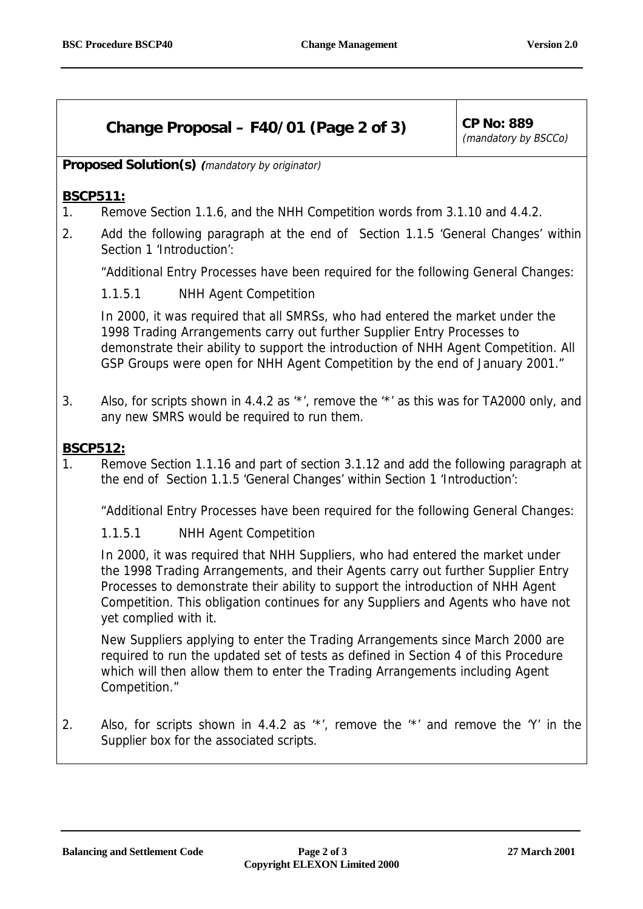# **Change Proposal – F40/01 (Page 2 of 3) CP No: 889**

(mandatory by BSCCo)

**Proposed Solution(s) (**mandatory by originator)

### **BSCP511:**

- 1. Remove Section 1.1.6, and the NHH Competition words from 3.1.10 and 4.4.2.
- 2. Add the following paragraph at the end of Section 1.1.5 'General Changes' within Section 1 'Introduction':

"Additional Entry Processes have been required for the following General Changes:

1.1.5.1 NHH Agent Competition

In 2000, it was required that all SMRSs, who had entered the market under the 1998 Trading Arrangements carry out further Supplier Entry Processes to demonstrate their ability to support the introduction of NHH Agent Competition. All GSP Groups were open for NHH Agent Competition by the end of January 2001."

3. Also, for scripts shown in 4.4.2 as '\*', remove the '\*' as this was for TA2000 only, and any new SMRS would be required to run them.

#### **BSCP512:**

1. Remove Section 1.1.16 and part of section 3.1.12 and add the following paragraph at the end of Section 1.1.5 'General Changes' within Section 1 'Introduction':

"Additional Entry Processes have been required for the following General Changes:

1.1.5.1 NHH Agent Competition

In 2000, it was required that NHH Suppliers, who had entered the market under the 1998 Trading Arrangements, and their Agents carry out further Supplier Entry Processes to demonstrate their ability to support the introduction of NHH Agent Competition. This obligation continues for any Suppliers and Agents who have not yet complied with it.

New Suppliers applying to enter the Trading Arrangements since March 2000 are required to run the updated set of tests as defined in Section 4 of this Procedure which will then allow them to enter the Trading Arrangements including Agent Competition."

2. Also, for scripts shown in 4.4.2 as '\*', remove the '\*' and remove the 'Y' in the Supplier box for the associated scripts.